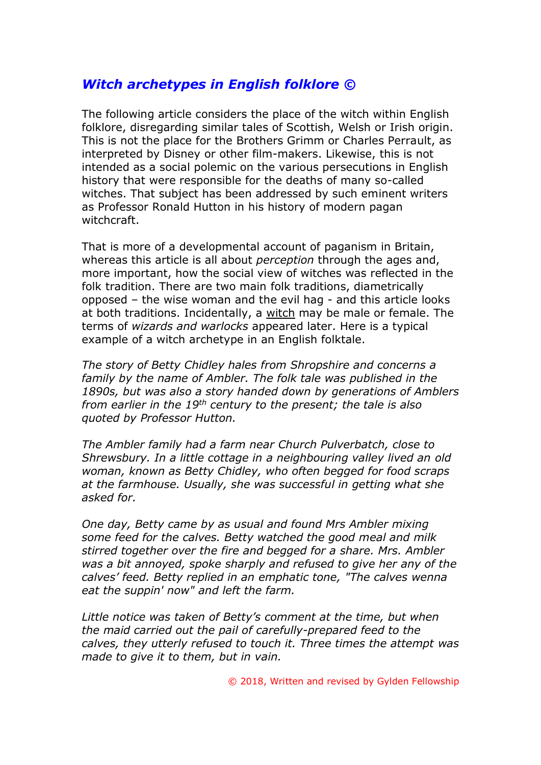## *Witch archetypes in English folklore ©*

The following article considers the place of the witch within English folklore, disregarding similar tales of Scottish, Welsh or Irish origin. This is not the place for the Brothers Grimm or Charles Perrault, as interpreted by Disney or other film-makers. Likewise, this is not intended as a social polemic on the various persecutions in English history that were responsible for the deaths of many so-called witches. That subject has been addressed by such eminent writers as Professor Ronald Hutton in his history of modern pagan witchcraft.

That is more of a developmental account of paganism in Britain, whereas this article is all about *perception* through the ages and, more important, how the social view of witches was reflected in the folk tradition. There are two main folk traditions, diametrically opposed – the wise woman and the evil hag - and this article looks at both traditions. Incidentally, a witch may be male or female. The terms of *wizards and warlocks* appeared later. Here is a typical example of a witch archetype in an English folktale.

*The story of Betty Chidley hales from Shropshire and concerns a family by the name of Ambler. The folk tale was published in the 1890s, but was also a story handed down by generations of Amblers from earlier in the 19th century to the present; the tale is also quoted by Professor Hutton.* 

*The Ambler family had a farm near Church Pulverbatch, close to Shrewsbury. In a little cottage in a neighbouring valley lived an old woman, known as Betty Chidley, who often begged for food scraps at the farmhouse. Usually, she was successful in getting what she asked for.*

*One day, Betty came by as usual and found Mrs Ambler mixing some feed for the calves. Betty watched the good meal and milk stirred together over the fire and begged for a share. Mrs. Ambler was a bit annoyed, spoke sharply and refused to give her any of the calves' feed. Betty replied in an emphatic tone, "The calves wenna eat the suppin' now" and left the farm.*

*Little notice was taken of Betty's comment at the time, but when the maid carried out the pail of carefully-prepared feed to the calves, they utterly refused to touch it. Three times the attempt was made to give it to them, but in vain.*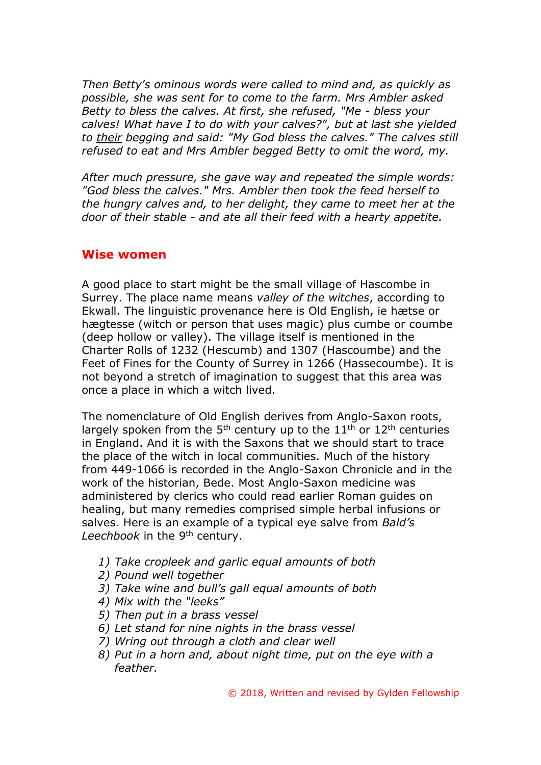*Then Betty's ominous words were called to mind and, as quickly as possible, she was sent for to come to the farm. Mrs Ambler asked Betty to bless the calves. At first, she refused, "Me - bless your calves! What have I to do with your calves?", but at last she yielded to their begging and said: "My God bless the calves." The calves still refused to eat and Mrs Ambler begged Betty to omit the word, my.* 

*After much pressure, she gave way and repeated the simple words: "God bless the calves." Mrs. Ambler then took the feed herself to the hungry calves and, to her delight, they came to meet her at the door of their stable - and ate all their feed with a hearty appetite.* 

## **Wise women**

A good place to start might be the small village of Hascombe in Surrey. The place name means *valley of the witches*, according to Ekwall. The linguistic provenance here is Old English, ie hætse or hægtesse (witch or person that uses magic) plus cumbe or coumbe (deep hollow or valley). The village itself is mentioned in the Charter Rolls of 1232 (Hescumb) and 1307 (Hascoumbe) and the Feet of Fines for the County of Surrey in 1266 (Hassecoumbe). It is not beyond a stretch of imagination to suggest that this area was once a place in which a witch lived.

The nomenclature of Old English derives from Anglo-Saxon roots, largely spoken from the  $5<sup>th</sup>$  century up to the  $11<sup>th</sup>$  or  $12<sup>th</sup>$  centuries in England. And it is with the Saxons that we should start to trace the place of the witch in local communities. Much of the history from 449-1066 is recorded in the Anglo-Saxon Chronicle and in the work of the historian, Bede. Most Anglo-Saxon medicine was administered by clerics who could read earlier Roman guides on healing, but many remedies comprised simple herbal infusions or salves. Here is an example of a typical eye salve from *Bald's*  Leechbook in the 9<sup>th</sup> century.

- *1) Take cropleek and garlic equal amounts of both*
- *2) Pound well together*
- *3) Take wine and bull's gall equal amounts of both*
- *4) Mix with the "leeks"*
- *5) Then put in a brass vessel*
- *6) Let stand for nine nights in the brass vessel*
- *7) Wring out through a cloth and clear well*
- *8) Put in a horn and, about night time, put on the eye with a feather.*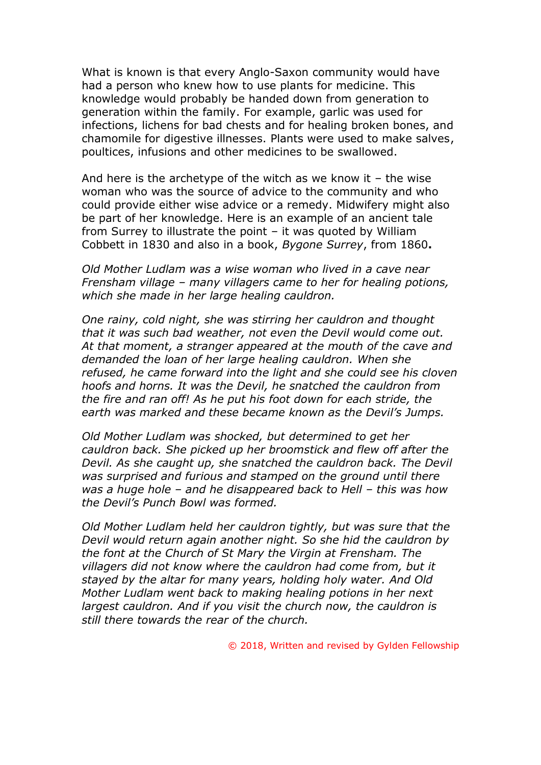What is known is that every Anglo-Saxon community would have had a person who knew how to use plants for medicine. This knowledge would probably be handed down from generation to generation within the family. For example, garlic was used for infections, lichens for bad chests and for healing broken bones, and chamomile for digestive illnesses. Plants were used to make salves, poultices, infusions and other medicines to be swallowed.

And here is the archetype of the witch as we know it  $-$  the wise woman who was the source of advice to the community and who could provide either wise advice or a remedy. Midwifery might also be part of her knowledge. Here is an example of an ancient tale from Surrey to illustrate the point – it was quoted by William Cobbett in 1830 and also in a book, *Bygone Surrey*, from 1860**.**

*Old Mother Ludlam was a wise woman who lived in a cave near Frensham village – many villagers came to her for healing potions, which she made in her large healing cauldron.*

*One rainy, cold night, she was stirring her cauldron and thought that it was such bad weather, not even the Devil would come out. At that moment, a stranger appeared at the mouth of the cave and demanded the loan of her large healing cauldron. When she refused, he came forward into the light and she could see his cloven hoofs and horns. It was the Devil, he snatched the cauldron from the fire and ran off! As he put his foot down for each stride, the earth was marked and these became known as the Devil's Jumps.*

*Old Mother Ludlam was shocked, but determined to get her cauldron back. She picked up her broomstick and flew off after the Devil. As she caught up, she snatched the cauldron back. The Devil was surprised and furious and stamped on the ground until there was a huge hole – and he disappeared back to Hell – this was how the Devil's Punch Bowl was formed.*

*Old Mother Ludlam held her cauldron tightly, but was sure that the Devil would return again another night. So she hid the cauldron by the font at the Church of St Mary the Virgin at Frensham. The villagers did not know where the cauldron had come from, but it stayed by the altar for many years, holding holy water. And Old Mother Ludlam went back to making healing potions in her next largest cauldron. And if you visit the church now, the cauldron is still there towards the rear of the church.*

© 2018, Written and revised by Gylden Fellowship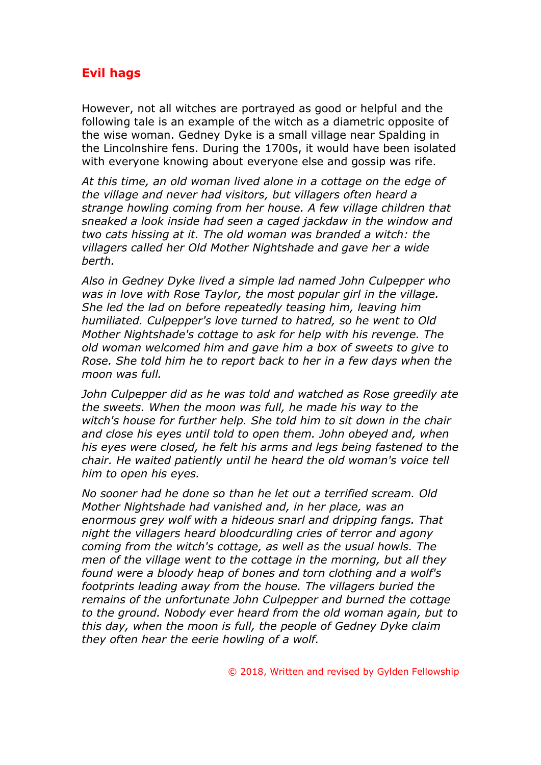## **Evil hags**

However, not all witches are portrayed as good or helpful and the following tale is an example of the witch as a diametric opposite of the wise woman. Gedney Dyke is a small village near Spalding in the Lincolnshire fens. During the 1700s, it would have been isolated with everyone knowing about everyone else and gossip was rife.

*At this time, an old woman lived alone in a cottage on the edge of the village and never had visitors, but villagers often heard a strange howling coming from her house. A few village children that sneaked a look inside had seen a caged jackdaw in the window and two cats hissing at it. The old woman was branded a witch: the villagers called her Old Mother Nightshade and gave her a wide berth.*

*Also in Gedney Dyke lived a simple lad named John Culpepper who was in love with Rose Taylor, the most popular girl in the village. She led the lad on before repeatedly teasing him, leaving him humiliated. Culpepper's love turned to hatred, so he went to Old Mother Nightshade's cottage to ask for help with his revenge. The old woman welcomed him and gave him a box of sweets to give to Rose. She told him he to report back to her in a few days when the moon was full.*

*John Culpepper did as he was told and watched as Rose greedily ate the sweets. When the moon was full, he made his way to the witch's house for further help. She told him to sit down in the chair and close his eyes until told to open them. John obeyed and, when his eyes were closed, he felt his arms and legs being fastened to the chair. He waited patiently until he heard the old woman's voice tell him to open his eyes.*

*No sooner had he done so than he let out a terrified scream. Old Mother Nightshade had vanished and, in her place, was an enormous grey wolf with a hideous snarl and dripping fangs. That night the villagers heard bloodcurdling cries of terror and agony coming from the witch's cottage, as well as the usual howls. The men of the village went to the cottage in the morning, but all they found were a bloody heap of bones and torn clothing and a wolf's footprints leading away from the house. The villagers buried the remains of the unfortunate John Culpepper and burned the cottage to the ground. Nobody ever heard from the old woman again, but to this day, when the moon is full, the people of Gedney Dyke claim they often hear the eerie howling of a wolf.*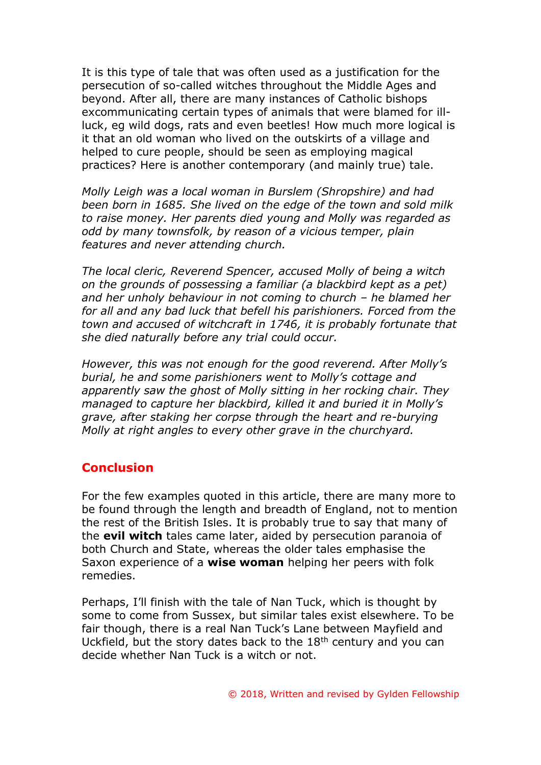It is this type of tale that was often used as a justification for the persecution of so-called witches throughout the Middle Ages and beyond. After all, there are many instances of Catholic bishops excommunicating certain types of animals that were blamed for illluck, eg wild dogs, rats and even beetles! How much more logical is it that an old woman who lived on the outskirts of a village and helped to cure people, should be seen as employing magical practices? Here is another contemporary (and mainly true) tale.

*Molly Leigh was a local woman in Burslem (Shropshire) and had been born in 1685. She lived on the edge of the town and sold milk to raise money. Her parents died young and Molly was regarded as odd by many townsfolk, by reason of a vicious temper, plain features and never attending church.*

*The local cleric, Reverend Spencer, accused Molly of being a witch on the grounds of possessing a familiar (a blackbird kept as a pet) and her unholy behaviour in not coming to church – he blamed her for all and any bad luck that befell his parishioners. Forced from the town and accused of witchcraft in 1746, it is probably fortunate that she died naturally before any trial could occur.*

*However, this was not enough for the good reverend. After Molly's burial, he and some parishioners went to Molly's cottage and apparently saw the ghost of Molly sitting in her rocking chair. They managed to capture her blackbird, killed it and buried it in Molly's grave, after staking her corpse through the heart and re-burying Molly at right angles to every other grave in the churchyard.*

## **Conclusion**

For the few examples quoted in this article, there are many more to be found through the length and breadth of England, not to mention the rest of the British Isles. It is probably true to say that many of the **evil witch** tales came later, aided by persecution paranoia of both Church and State, whereas the older tales emphasise the Saxon experience of a **wise woman** helping her peers with folk remedies.

Perhaps, I'll finish with the tale of Nan Tuck, which is thought by some to come from Sussex, but similar tales exist elsewhere. To be fair though, there is a real Nan Tuck's Lane between Mayfield and Uckfield, but the story dates back to the  $18<sup>th</sup>$  century and you can decide whether Nan Tuck is a witch or not.